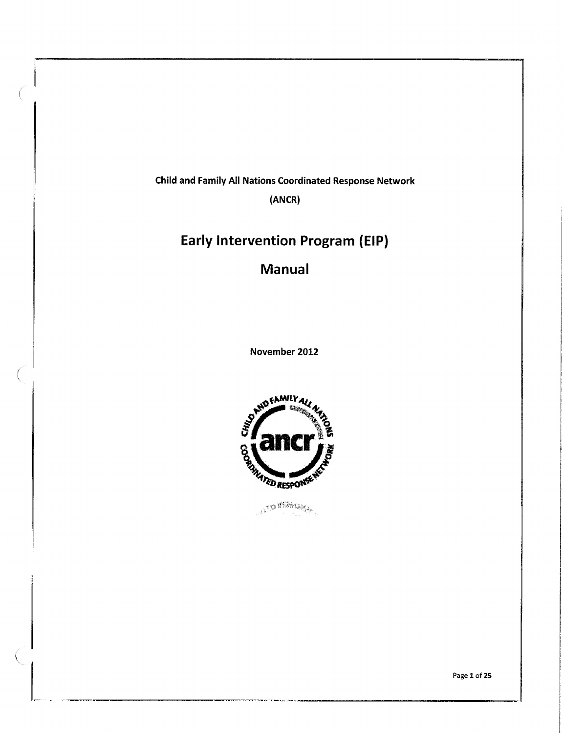**Child and Family All Nations Coordinated Response Network** 

**(ANCR)** 

# **Early Intervention Program (EIP)**

# **Manual**

**November 2012** 

 $\left($ 



ALLES BEZACAMA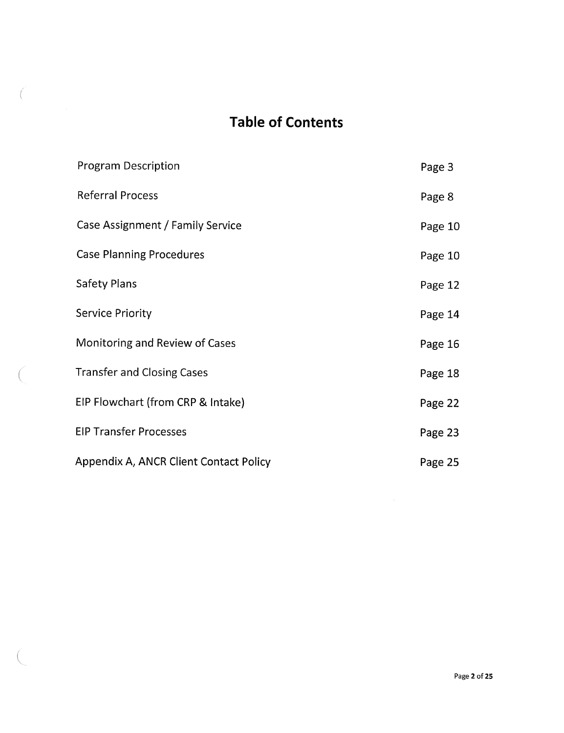# **Table of Contents**

 $\int_0^{\infty}$ 

ť

| <b>Program Description</b>             | Page 3  |
|----------------------------------------|---------|
| <b>Referral Process</b>                | Page 8  |
| Case Assignment / Family Service       | Page 10 |
| <b>Case Planning Procedures</b>        | Page 10 |
| <b>Safety Plans</b>                    | Page 12 |
| <b>Service Priority</b>                | Page 14 |
| Monitoring and Review of Cases         | Page 16 |
| <b>Transfer and Closing Cases</b>      | Page 18 |
| EIP Flowchart (from CRP & Intake)      | Page 22 |
| <b>EIP Transfer Processes</b>          | Page 23 |
| Appendix A, ANCR Client Contact Policy | Page 25 |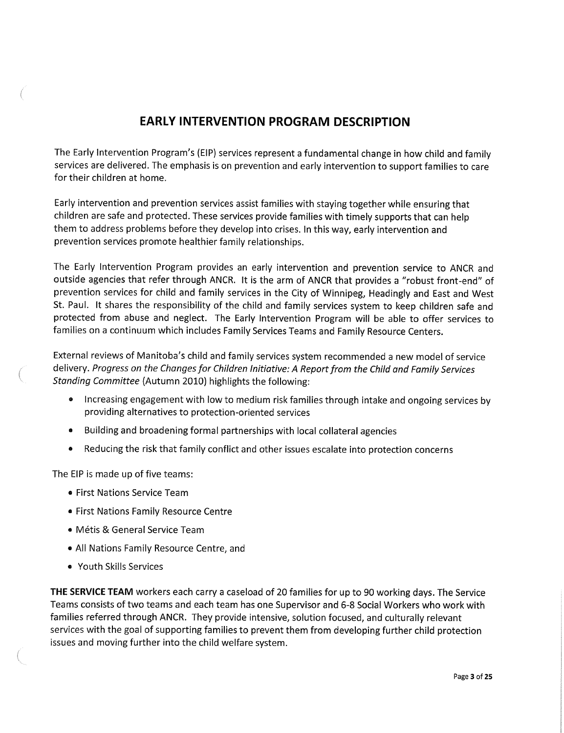### **EARLY INTERVENTION PROGRAM DESCRIPTION**

The Early Intervention Program's (EIP) services represent a fundamental change in how child and family services are delivered. The emphasis is on prevention and early intervention to support families to care for their children at home.

Early intervention and prevention services assist families with staying together while ensuring that children are safe and protected. These services provide families with timely supports that can help them to address problems before they develop into crises. In this way, early intervention and prevention services promote healthier family relationships.

The Early Intervention Program provides an early intervention and prevention service to ANCR and outside agencies that refer through ANCR. It is the arm of ANCR that provides a "robust front-end" of prevention services for child and family services in the City of Winnipeg, Headingly and East and West St. Paul. It shares the responsibility of the child and family services system to keep children safe and protected from abuse and neglect. The Early Intervention Program will be able to offer services to families on a continuum which includes Family Services Teams and Family Resource Centers.

External reviews of Manitoba's child and family services system recommended a new model of service delivery. Progress on the Changes for Children Initiative: A Report from the Child and Family Services Standing Committee (Autumn 2010) highlights the following:

- Increasing engagement with low to medium risk families through intake and ongoing services by providing alternatives to protection-oriented services
- Building and broadening formal partnerships with local collateral agencies
- Reducing the risk that family conflict and other issues escalate into protection concerns

The EIP is made up of five teams:

- First Nations Service Team
- First Nations Family Resource Centre
- Metis & General Service Team
- All Nations Family Resource Centre, and
- o Youth Skills Services

**THE SERVICE TEAM** workers each carry a caseload of 20 families for up to 90 working days. The Service Teams consists of two teams and each team has one Supervisor and 6-8 Social Workers who work with families referred through ANCR. They provide intensive, solution focused, and culturally relevant services with the goal of supporting families to prevent them from developing further child protection issues and moving further into the child welfare system.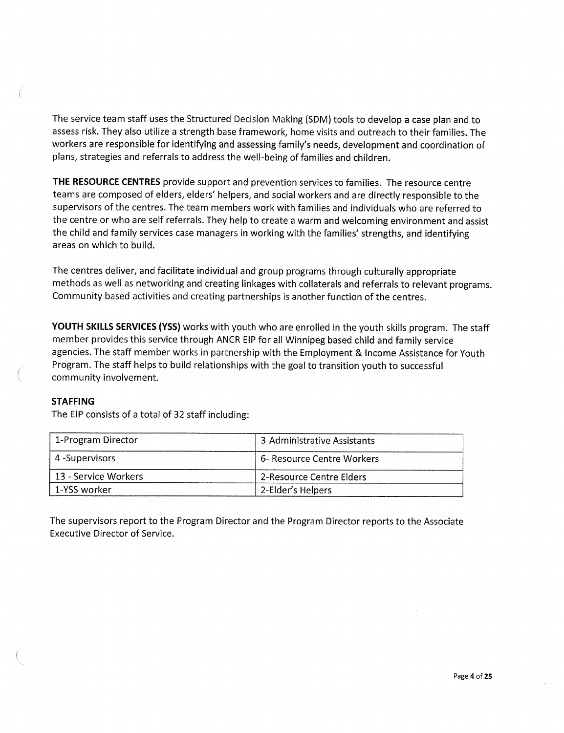The service team staff uses the Structured Decision Making (SDM) tools to develop a case plan and to assess risk. They also utilize a strength base framework, home visits and outreach to their families. The workers are responsible for identifying and assessing family's needs, development and coordination of plans, strategies and referrals to address the well-being of families and children.

**THE RESOURCE CENTRES** provide support and prevention services to families. The resource centre teams are composed of elders, elders' helpers, and social workers and are directly responsible to the supervisors of the centres. The team members work with families and individuals who are referred to the centre or who are self referrals. They help to create a warm and welcoming environment and assist the child and family services case managers in working with the families' strengths, and identifying areas on which to build.

The centres deliver, and facilitate individual and group programs through culturally appropriate methods as well as networking and creating linkages with collaterals and referrals to relevant programs. Community based activities and creating partnerships is another function of the centres.

**YOUTH SKILLS SERVICES (YSS)** works with youth who are enrolled in the youth skills program. The staff member provides this service through ANCR EIP for all Winnipeg based child and family service agencies. The staff member works in partnership with the Employment & Income Assistance for Youth Program. The staff helps to build relationships with the goal to transition youth to successful community involvement.

#### **STAFFING**

The EIP consists of a total of 32 staff including:

| 1-Program Director   | 3-Administrative Assistants |
|----------------------|-----------------------------|
| 4-Supervisors        | 6- Resource Centre Workers  |
| 13 - Service Workers | 2-Resource Centre Elders    |
| 1-YSS worker         | 2-Elder's Helpers           |

The supervisors report to the Program Director and the Program Director reports to the Associate Executive Director of Service.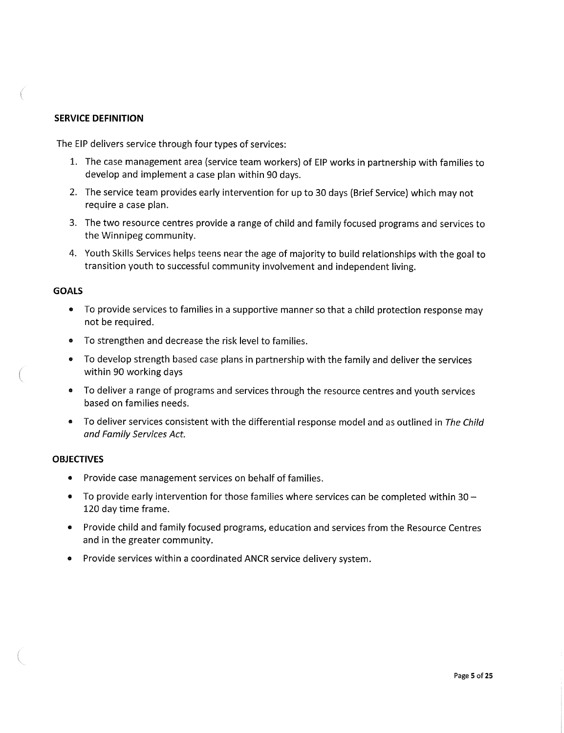#### **SERVICE DEFINITION**

The EIP delivers service through four types of services:

- 1. The case management area (service team workers) of EIP works in partnership with families to develop and implement a case plan within 90 days.
- 2. The service team provides early intervention for up to 30 days (Brief Service) which may not require a case plan.
- 3. The two resource centres provide a range of child and family focused programs and services to the Winnipeg community.
- 4. Youth Skills Services helps teens near the age of majority to build relationships with the goal to transition youth to successful community involvement and independent living.

#### **GOALS**

- » To provide services to families in a supportive manner so that a child protection response may not be required.
- To strengthen and decrease the risk level to families.
- To develop strength based case plans in partnership with the family and deliver the services within 90 working days
- a To deliver a range of programs and services through the resource centres and youth services based on families needs.
- To deliver services consistent with the differential response model and as outlined in The Child and Family Services Act.

#### **OBJECTIVES**

- Provide case management services on behalf of families.
- To provide early intervention for those families where services can be completed within 30  $-$ 120 day time frame.
- Provide child and family focused programs, education and services from the Resource Centres and in the greater community.
- **o** Provide services within a coordinated ANCR service delivery system.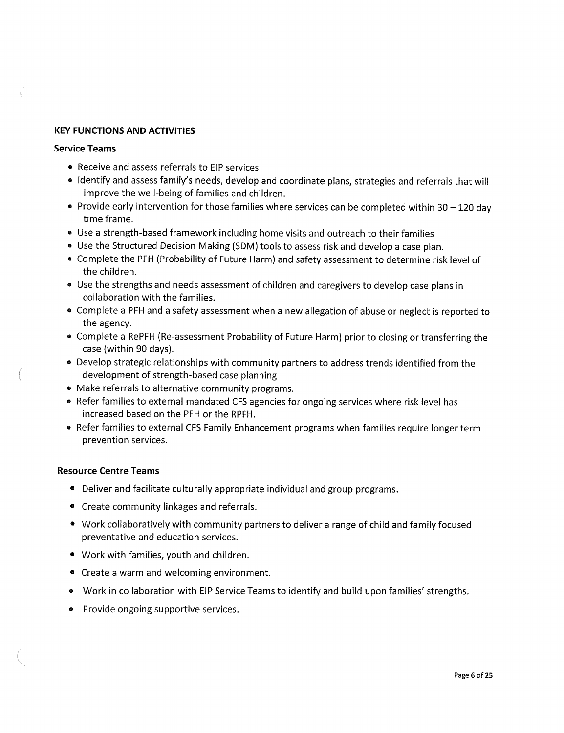#### **KEY FUNCTIONS AND ACTIVITIES**

#### **Service Teams**

- Receive and assess referrals to EIP services
- Identify and assess family's needs, develop and coordinate plans, strategies and referrals that will improve the well-being of families and children.
- Provide early intervention for those families where services can be completed within  $30 120$  day time frame.
- Use a strength-based framework including home visits and outreach to their families
- o Use the Structured Decision Making (SDM) tools to assess risk and develop a case plan.
- Complete the PFH (Probability of Future Harm) and safety assessment to determine risk level of the children.
- Use the strengths and needs assessment of children and caregivers to develop case plans in collaboration with the families,
- a Complete a PFH and a safety assessment when a new allegation of abuse or neglect is reported to the agency.
- Complete a RePFH (Re-assessment Probability of Future Harm) prior to closing or transferring the case (within 90 days).
- Develop strategic relationships with community partners to address trends identified from the development of strength-based case planning
- Make referrals to alternative community programs.
- Refer families to external mandated CFS agencies for ongoing services where risk level has increased based on the PFH or the RPFH.
- Refer families to external CFS Family Enhancement programs when families require longer term prevention services.

#### **Resource Centre Teams**

- Deliver and facilitate culturally appropriate individual and group programs.
- Create community linkages and referrals.
- Work collaboratively with community partners to deliver a range of child and family focused preventative and education services.
- Work with families, youth and children.
- Create a warm and welcoming environment.
- Work in collaboration with EIP Service Teams to identify and build upon families' strengths.
- Provide ongoing supportive services.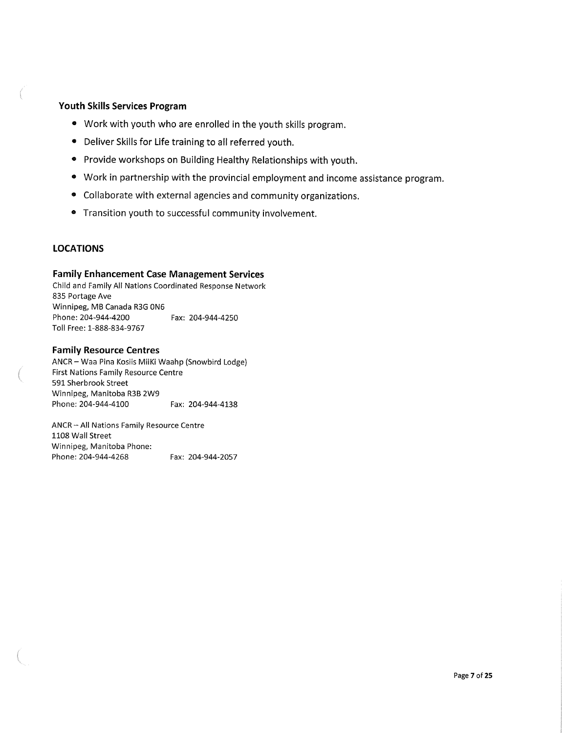#### **Youth Skills Services Program**

- Work with youth who are enrolled in the youth skills program.
- Deliver Skills for Life training to all referred youth.
- Provide workshops on Building Healthy Relationships with youth.
- Work in partnership with the provincial employment and income assistance program.
- Collaborate with external agencies and community organizations.
- Transition youth to successful community involvement.

#### **LOCATIONS**

#### **Family Enhancement Case Management Services**

Child and Family All Nations Coordinated Response Network 835 Portage Ave Winnipeg, MB Canada R3G 0N6 Phone: 204-944-4200 Fax: 204-944-4250 Toll Free: 1-888-834-9767

#### **Family Resource Centres**

ANCR - Waa Pina Kosiis MiiKi Waahp (Snowbird Lodge) First Nations Family Resource Centre 591 Sherbrook Street Winnipeg, Manitoba R3B 2W9 Phone:204-944-4100 Fax: 204-944-4138

ANCR - All Nations Family Resource Centre 1108 Wall Street Winnipeg, Manitoba Phone: Phone: 204-944-4268 Fax: 204-944-2057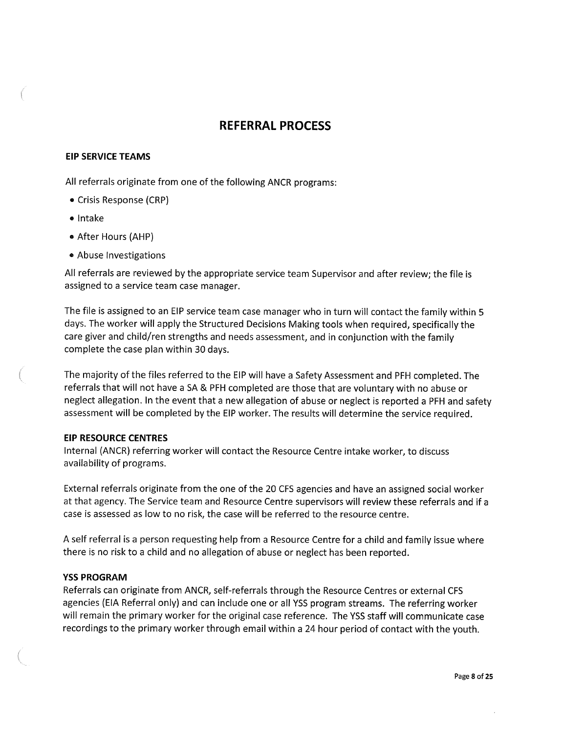### **REFERRAL PROCESS**

#### **EIP SERVICE TEAMS**

All referrals originate from one of the following ANCR programs:

- Crisis Response (CRP)
- Intake
- » After Hours (AHP)
- Abuse Investigations

All referrals are reviewed by the appropriate service team Supervisor and after review; the file is assigned to a service team case manager.

The file is assigned to an EIP service team case manager who in turn will contact the family within 5 days. The worker will apply the Structured Decisions Making tools when required, specifically the care giver and child/ren strengths and needs assessment, and in conjunction with the family complete the case plan within 30 days.

The majority of the files referred to the EIP will have a Safety Assessment and PFH completed. The referrals that will not have a SA & PFH completed are those that are voluntary with no abuse or neglect allegation. In the event that a new allegation of abuse or neglect is reported a PFH and safety assessment will be completed by the EIP worker. The results will determine the service required.

#### **EIP RESOURCE CENTRES**

Internal (ANCR) referring worker will contact the Resource Centre intake worker, to discuss availability of programs.

External referrals originate from the one ofthe 20 CFS agencies and have an assigned social worker at that agency. The Service team and Resource Centre supervisors will review these referrals and if a case is assessed as low to no risk, the case will be referred to the resource centre.

A self referral is a person requesting help from a Resource Centre for a child and family issue where there is no risk to a child and no allegation of abuse or neglect has been reported.

#### **YSS PROGRAM**

Referrals can originate from ANCR, self-referrals through the Resource Centres or external CFS agencies (EIA Referral only) and can include one or all YSS program streams. The referring worker will remain the primary worker for the original case reference. The YSS staff will communicate case recordings to the primary worker through email within a 24 hour period of contact with the youth.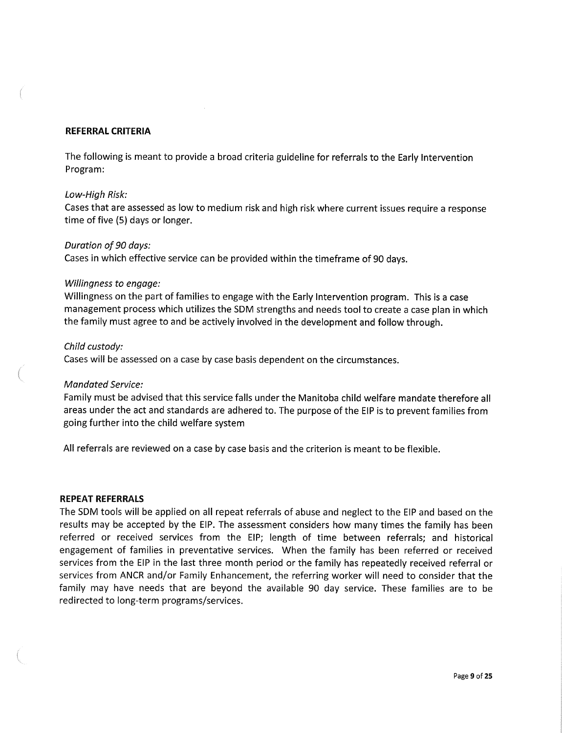#### **REFERRAL CRITERIA**

The following is meant to provide a broad criteria guideline for referrals to the Early Intervention Program:

#### Low-High Risk:

Cases that are assessed as low to medium risk and high risk where current issues require a response time of five (5) days or longer.

#### Duration of 90 days:

Cases in which effective service can be provided within the timeframe of 90 days.

#### Willingness to engage:

Willingness on the part of families to engage with the Early Intervention program. This is a case management process which utilizes the SDM strengths and needs tool to create a case plan in which the family must agree to and be actively involved in the development and follow through.

#### Child custody:

Cases will be assessed on a case by case basis dependent on the circumstances.

#### **Mandated Service:**

Family must be advised that this service falls under the Manitoba child welfare mandate therefore all areas under the act and standards are adhered to. The purpose of the EIP is to prevent families from going further into the child welfare system

All referrals are reviewed on a case by case basis and the criterion is meant to be flexible.

#### **REPEAT REFERRALS**

The SDM tools will be applied on all repeat referrals of abuse and neglect to the EIP and based on the results may be accepted by the EIP. The assessment considers how many times the family has been referred or received services from the EIP; length of time between referrals; and historical engagement of families in preventative services. When the family has been referred or received services from the EIP in the last three month period or the family has repeatedly received referral or services from ANCR and/or Family Enhancement, the referring worker will need to consider that the family may have needs that are beyond the available 90 day service. These families are to be redirected to long-term programs/services.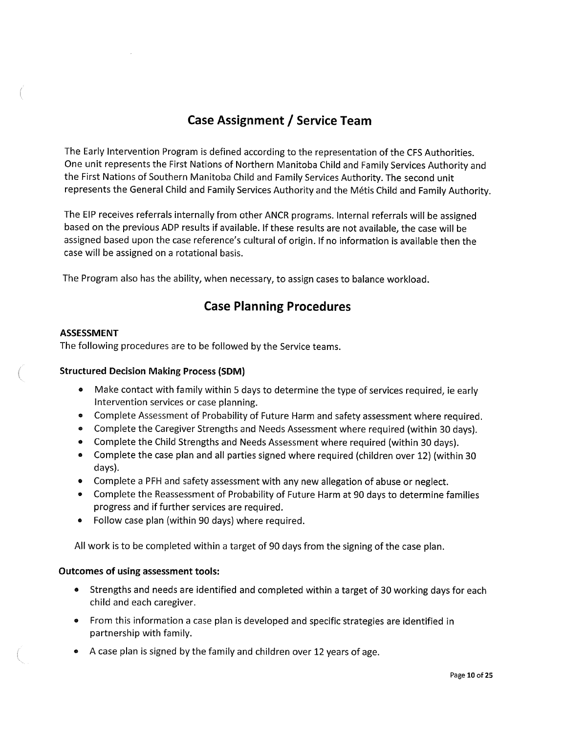## **Case Assignment / Service Team**

The Early Intervention Program is defined according to the representation of the CFS Authorities. One unit represents the First Nations of Northern Manitoba Child and Family Services Authority and the First Nations of Southern Manitoba Child and Family Services Authority. The second unit represents the General Child and Family Services Authority and the Metis Child and Family Authority.

The EIP receives referrals internally from other ANCR programs. Internal referrals will be assigned based on the previous ADP results if available. If these results are not available, the case will be assigned based upon the case reference's cultural of origin. If no information is available then the case will be assigned on a rotational basis.

The Program also has the ability, when necessary, to assign cases to balance workload.

### **Case Planning Procedures**

#### **ASSESSMENT**

The following procedures are to be followed by the Service teams.

#### **Structured Decision Making Process (SDM)**

- « Make contact with family within 5 days to determine the type of services required, ie early Intervention services or case planning.
- Complete Assessment of Probability of Future Harm and safety assessment where required.
- Complete the Caregiver Strengths and Needs Assessment where required (within 30 days).
- » Complete the Child Strengths and Needs Assessment where required (within 30 days).
- o Complete the case plan and all parties signed where required (children over 12) (within 30 days).
- Complete a PFH and safety assessment with any new allegation of abuse or neglect.
- » Complete the Reassessment of Probability of Future Harm at 90 days to determine families progress and if further services are required.
- Follow case plan (within 90 days) where required.

All work is to be completed within a target of 90 days from the signing of the case plan.

#### **Outcomes of using assessment tools:**

- Strengths and needs are identified and completed within a target of 30 working days for each child and each caregiver.
- From this information a case plan is developed and specific strategies are identified in partnership with family.
- « A case plan is signed by the family and children over 12 years of age.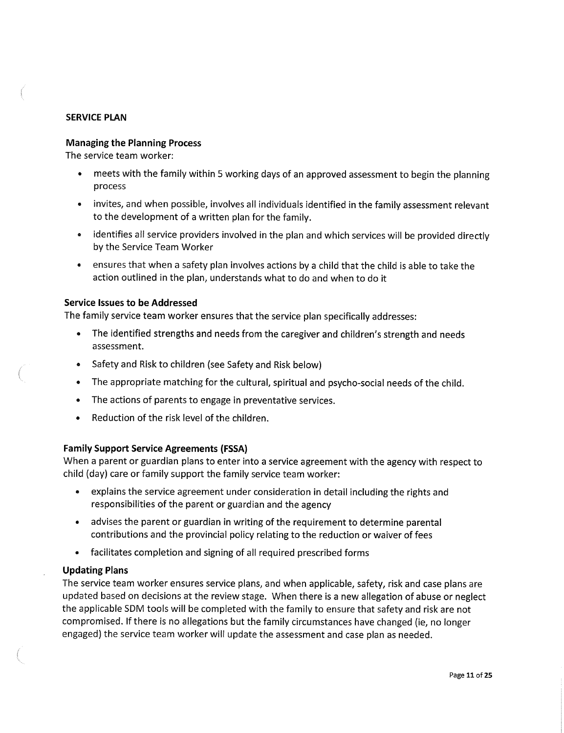#### **SERVICE PLAN**

#### **Managing the Planning Process**

The service team worker:

- meets with the family within 5 working days of an approved assessment to begin the planning process
- invites, and when possible, involves all individuals identified in the family assessment relevant to the development of a written plan for the family.
- **o** identifies all service providers involved in the plan and which services will be provided directly by the Service Team Worker
- ensures that when a safety plan involves actions by a child that the child is able to take the action outlined in the plan, understands what to do and when to do it

#### **Service Issues to be Addressed**

The family service team worker ensures that the service plan specifically addresses:

- The identified strengths and needs from the caregiver and children's strength and needs assessment.
- Safety and Risk to children (see Safety and Risk below)
- The appropriate matching for the cultural, spiritual and psycho-social needs of the child.
- The actions of parents to engage in preventative services.
- Reduction of the risk level of the children.

#### **Family Support Service Agreements (FSSA)**

When a parent or guardian plans to enter into a service agreement with the agency with respect to child (day) care or family support the family service team worker:

- explains the service agreement under consideration in detail including the rights and responsibilities of the parent or guardian and the agency
- advises the parent or guardian in writing of the requirement to determine parental contributions and the provincial policy relating to the reduction or waiver of fees
- facilitates completion and signing of all required prescribed forms

#### **Updating Plans**

The service team worker ensures service plans, and when applicable, safety, risk and case plans are updated based on decisions at the review stage. When there is a new allegation of abuse or neglect the applicable SDM tools will be completed with the family to ensure that safety and risk are not compromised. If there is no allegations but the family circumstances have changed (ie, no longer engaged) the service team worker will update the assessment and case plan as needed.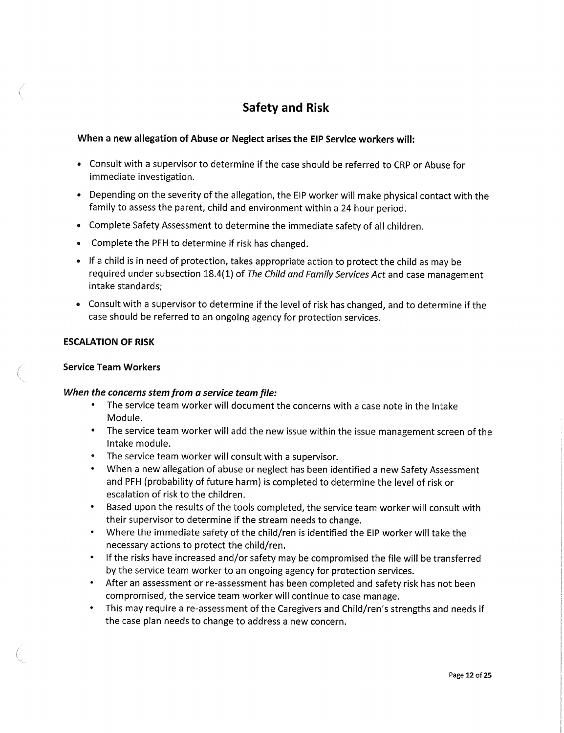## **Safety and Risk**

#### **When a new allegation of Abuse or Neglect arises the EIP Service workers will:**

- Consult with a supervisor to determine if the case should be referred to CRP or Abuse for immediate investigation.
- Depending on the severity of the allegation, the EIP worker will make physical contact with the family to assess the parent, child and environment within a 24 hour period.
- Complete Safety Assessment to determine the immediate safety of all children.
- Complete the PFH to determine if risk has changed.
- If a child is in need of protection, takes appropriate action to protect the child as may be required under subsection 18.4(1) of The Child and Family Services Act and case management intake standards;
- Consult with a supervisor to determine if the level of risk has changed, and to determine if the case should be referred to an ongoing agency for protection services.

#### **ESCALATION OF RISK**

#### **Service Team Workers**

#### **When the concerns stem from a service team file:**

- The service team worker will document the concerns with a case note in the Intake Module.
- The service team worker will add the new issue within the issue management screen of the Intake module.
- The service team worker will consult with a supervisor.
- When a new allegation of abuse or neglect has been identified a new Safety Assessment and PFH (probability of future harm) is completed to determine the level of risk or escalation of risk to the children.
- Based upon the results of the tools completed, the service team worker will consult with their supervisor to determine if the stream needs to change.
- Where the immediate safety of the child/ren is identified the EIP worker will take the necessary actions to protect the child/ren.
- If the risks have increased and/or safety may be compromised the file will be transferred by the service team worker to an ongoing agency for protection services.
- After an assessment or re-assessment has been completed and safety risk has not been compromised, the service team worker will continue to case manage.
- This may require a re-assessment of the Caregivers and Child/ren's strengths and needs if the case plan needs to change to address a new concern.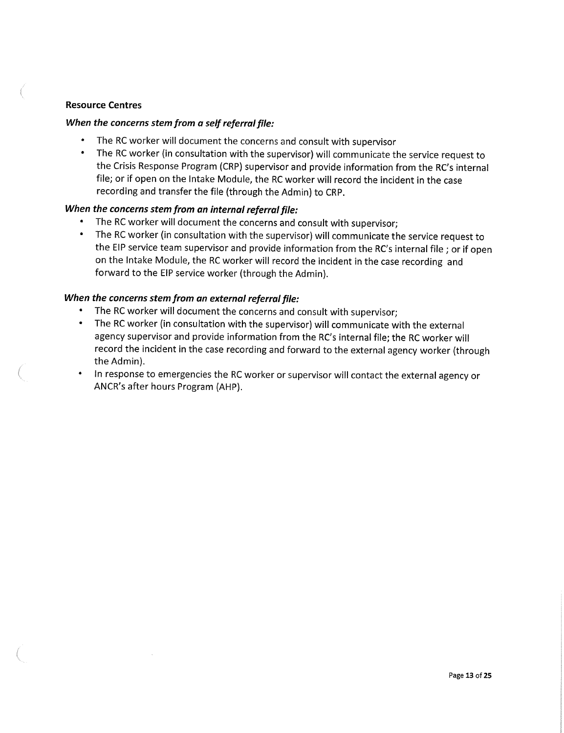#### **Resource Centres**

#### **When the concerns stem from a self referral file:**

- The RC worker will document the concerns and consult with supervisor
- The RC worker (in consultation with the supervisor) will communicate the service request to the Crisis Response Program (CRP) supervisor and provide information from the RC's internal file; or if open on the Intake Module, the RC worker will record the incident in the case recording and transfer the file (through the Admin) to CRP.

#### **When the concerns stem from an internal referral file:**

- The RC worker will document the concerns and consult with supervisor;
- The RC worker (in consultation with the supervisor) will communicate the service request to the EIP service team supervisor and provide information from the RC's internal file ; or if open on the Intake Module, the RC worker will record the incident in the case recording and forward to the EIP service worker (through the Admin).

#### **When the concerns stem from an external referral file:**

- The RC worker will document the concerns and consult with supervisor;
- The RC worker (in consultation with the supervisor) will communicate with the external agency supervisor and provide information from the RC's internal file; the RC worker will record the incident in the case recording and forward to the external agency worker (through the Admin).
- In response to emergencies the RC worker or supervisor will contact the external agency or ANCR's after hours Program (AHP).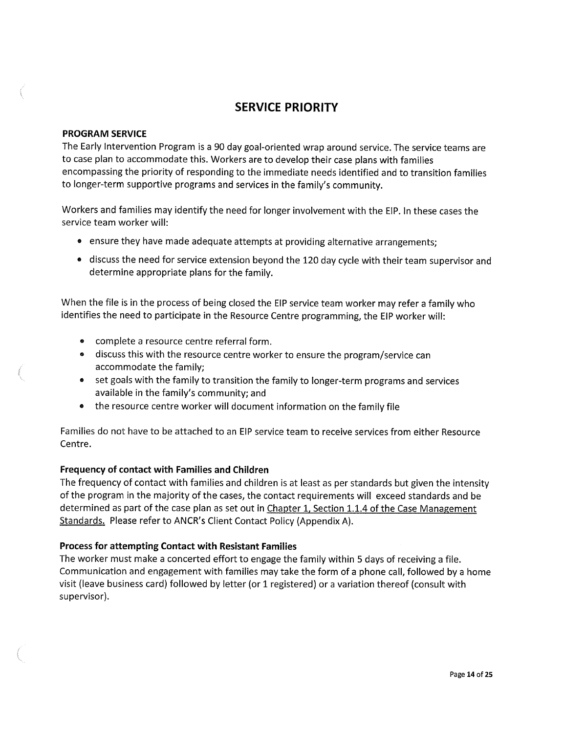### **SERVICE PRIORITY**

#### **PROGRAM SERVICE**

The Early Intervention Program is a 90 day goal-oriented wrap around service. The service teams are to case plan to accommodate this. Workers are to develop their case plans with families encompassing the priority of responding to the immediate needs identified and to transition families to longer-term supportive programs and services in the family's community.

Workers and families may identify the need for longer involvement with the EIP. In these cases the service team worker will:

- ensure they have made adequate attempts at providing alternative arrangements;
- discuss the need for service extension beyond the 120 day cycle with their team supervisor and determine appropriate plans for the family.

When the file is in the process of being closed the EIP service team worker may refer a family who identifies the need to participate in the Resource Centre programming, the EIP worker will:

- complete a resource centre referral form.
- discuss this with the resource centre worker to ensure the program/service can accommodate the family;
- set goals with the family to transition the family to longer-term programs and services available in the family's community; and
- the resource centre worker will document information on the family file

Families do not have to be attached to an EIP service team to receive services from either Resource Centre.

#### **Frequency of contact with Families and Children**

The frequency of contact with families and children is at least as per standards but given the intensity of the program in the majority of the cases, the contact requirements will exceed standards and be determined as part of the case plan as set out in Chapter 1, Section 1.1.4 of the Case Management Standards. Please refer to ANCR's Client Contact Policy (Appendix A).

#### **Process for attempting Contact with Resistant Families**

The worker must make a concerted effort to engage the family within 5 days of receiving a file. Communication and engagement with families may take the form of a phone call, followed by a home visit (leave business card) followed by letter (or 1 registered) or a variation thereof (consult with supervisor).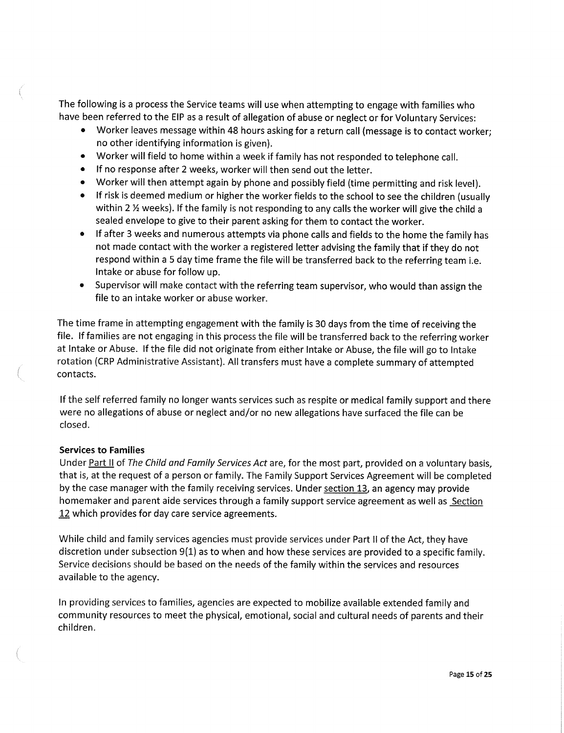The following is a process the Service teams will use when attempting to engage with families who have been referred to the EIP as a result of allegation of abuse or neglect or for Voluntary Services:

- Worker leaves message within 48 hours asking for a return call (message is to contact worker; no other identifying information is given).
- Worker will field to home within a week if family has not responded to telephone call.
- If no response after 2 weeks, worker will then send out the letter.
- Worker will then attempt again by phone and possibly field (time permitting and risk level).
- If risk is deemed medium or higher the worker fields to the school to see the children (usually within 2  $\frac{1}{2}$  weeks). If the family is not responding to any calls the worker will give the child a sealed envelope to give to their parent asking for them to contact the worker.
- If after 3 weeks and numerous attempts via phone calls and fields to the home the family has not made contact with the worker a registered letter advising the family that if they do not respond within a 5 day time frame the file will be transferred back to the referring team i.e. Intake or abuse for follow up.
- Supervisor will make contact with the referring team supervisor, who would than assign the file to an intake worker or abuse worker.

The time frame in attempting engagement with the family is 30 days from the time of receiving the file. If families are not engaging in this process the file will be transferred back to the referring worker at Intake or Abuse. If the file did not originate from either Intake or Abuse, the file will go to Intake rotation (CRP Administrative Assistant). All transfers must have a complete summary of attempted contacts.

If the self referred family no longer wants services such as respite or medical family support and there were no allegations of abuse or neglect and/or no new allegations have surfaced the file can be closed.

#### **Services to Families**

Under Part II of The Child and Family Services Act are, for the most part, provided on a voluntary basis, that is, at the request of a person or family. The Family Support Services Agreement will be completed by the case manager with the family receiving services. Under section 13, an agency may provide homemaker and parent aide services through a family support service agreement as well as Section 12 which provides for day care service agreements.

While child and family services agencies must provide services under Part II of the Act, they have discretion under subsection 9(1) as to when and how these services are provided to a specific family. Service decisions should be based on the needs ofthe family within the services and resources available to the agency.

In providing services to families, agencies are expected to mobilize available extended family and community resources to meet the physical, emotional, social and cultural needs of parents and their children.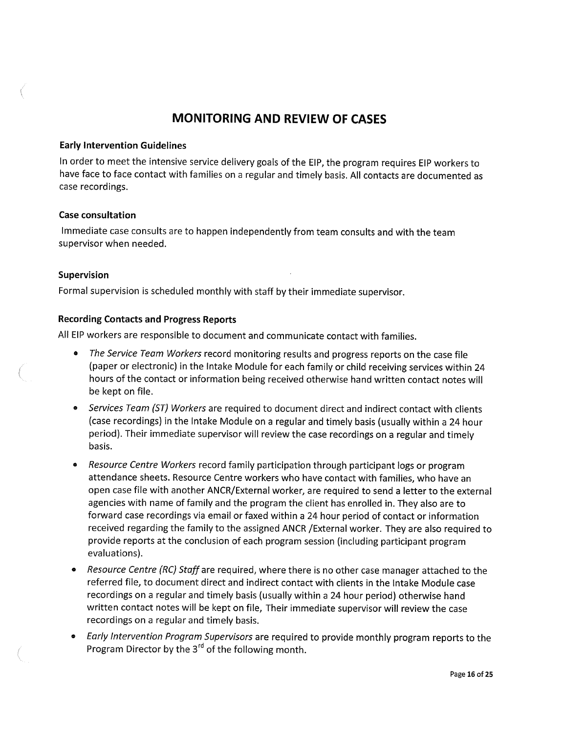### **MONITORING AND REVIEW OF CASES**

#### **Early Intervention Guidelines**

In order to meet the intensive service delivery goals of the EIP, the program requires EIP workers to have face to face contact with families on a regular and timely basis. All contacts are documented as case recordings.

#### **Case consultation**

Immediate case consults are to happen independently from team consults and with the team supervisor when needed.

#### **Supervision**

Formal supervision is scheduled monthly with staff by their immediate supervisor.

**Recording Contacts and Progress Reports**  All EIP workers are responsible to document and communicate contact with families.

- « The Service Team Workers record monitoring results and progress reports on the case file (paper or electronic) in the Intake Module for each family or child receiving services within 24 hours of the contact or information being received otherwise hand written contact notes will be kept on file.
- Services Team (ST) Workers are required to document direct and indirect contact with clients (case recordings) in the Intake Module on a regular and timely basis (usually within a 24 hour period). Their immediate supervisor will review the case recordings on a regular and timely basis.
- Resource Centre Workers record family participation through participant logs or program attendance sheets. Resource Centre workers who have contact with families, who have an open case file with another ANCR/External worker, are required to send a letter to the external agencies with name of family and the program the client has enrolled in. They also are to forward case recordings via email or faxed within a 24 hour period of contact or information received regarding the family to the assigned ANCR /External worker. They are also required to provide reports at the conclusion of each program session (including participant program evaluations).
- Resource Centre (RC) Staff are required, where there is no other case manager attached to the referred file, to document direct and indirect contact with clients in the Intake Module case recordings on a regular and timely basis (usually within a 24 hour period) otherwise hand written contact notes will be kept on file, Their immediate supervisor will review the case recordings on a regular and timely basis.
- Early Intervention Program Supervisors are required to provide monthly program reports to the Program Director by the 3<sup>rd</sup> of the following month.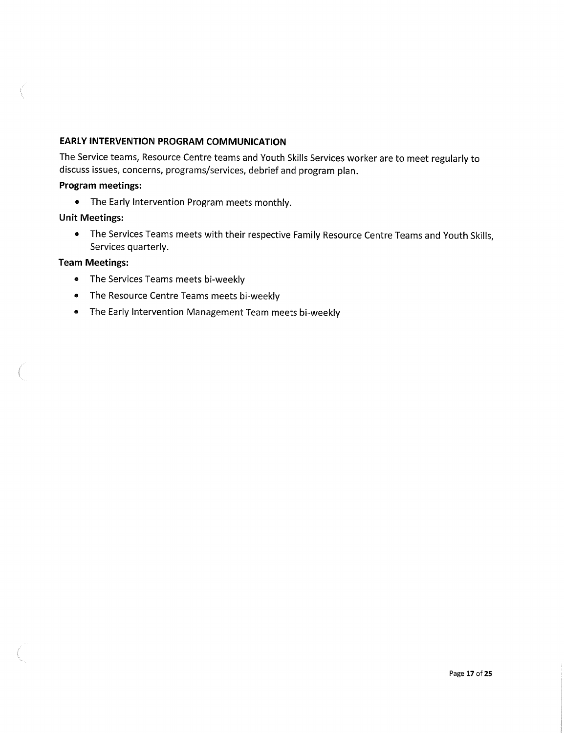#### **EARLY INTERVENTION PROGRAM COMMUNICATION**

The Service teams, Resource Centre teams and Youth Skills Services worker are to meet regularly to discuss issues, concerns, programs/services, debrief and program plan.

#### **Program meetings:**

• The Early Intervention Program meets monthly.

#### **Unit Meetings:**

• The Services Teams meets with their respective Family Resource Centre Teams and Youth Skills, Services quarterly.

#### **Team Meetings:**

- The Services Teams meets bi-weekly
- The Resource Centre Teams meets bi-weekly
- The Early Intervention Management Team meets bi-weekly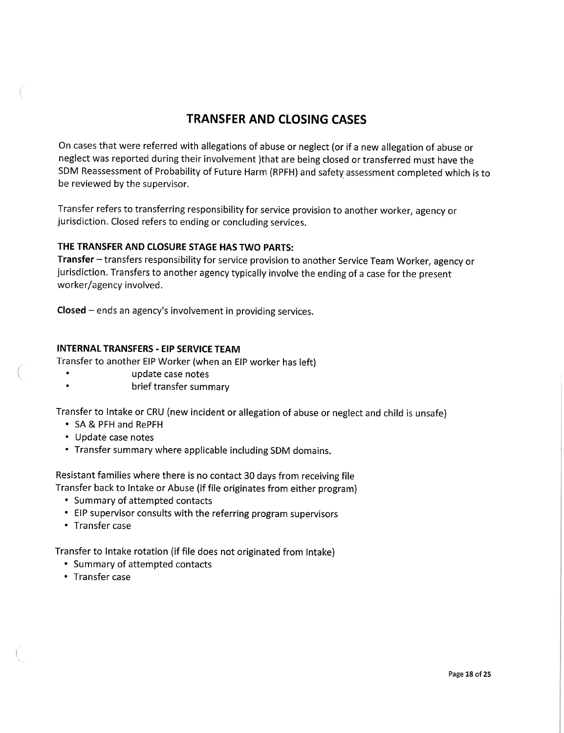### **TRANSFER AND CLOSING CASES**

On cases that were referred with allegations of abuse or neglect (or if a new allegation of abuse or neglect was reported during their involvement )that are being closed or transferred must have the SDM Reassessment of Probability of Future Harm (RPFH) and safety assessment completed which is to be reviewed by the supervisor.

Transfer refers to transferring responsibility for service provision to another worker, agency or jurisdiction. Closed refers to ending or concluding services.

#### **THE TRANSFER AND CLOSURE STAGE HAS TWO PARTS:**

**Transfer** - transfers responsibility for service provision to another Service Team Worker, agency or jurisdiction. Transfers to another agency typically involve the ending of a case for the present worker/agency involved.

**Closed** - ends an agency's involvement in providing services.

#### **INTERNAL TRANSFERS - EIP SERVICE TEAM**

Transfer to another EIP Worker (when an EIP worker has left)

- update case notes
- $\bullet$ brief transfer summary

Transfer to Intake or CRU (new incident or allegation of abuse or neglect and child is unsafe)

- SA & PFH and RePFH
- Update case notes
- Transfer summary where applicable including SDM domains.

Resistant families where there is no contact 30 days from receiving file Transfer back to Intake or Abuse (if file originates from either program)

- Summary of attempted contacts
- EIP supervisor consults with the referring program supervisors
- Transfer case

Transfer to Intake rotation (if file does not originated from Intake)

- Summary of attempted contacts
- Transfer case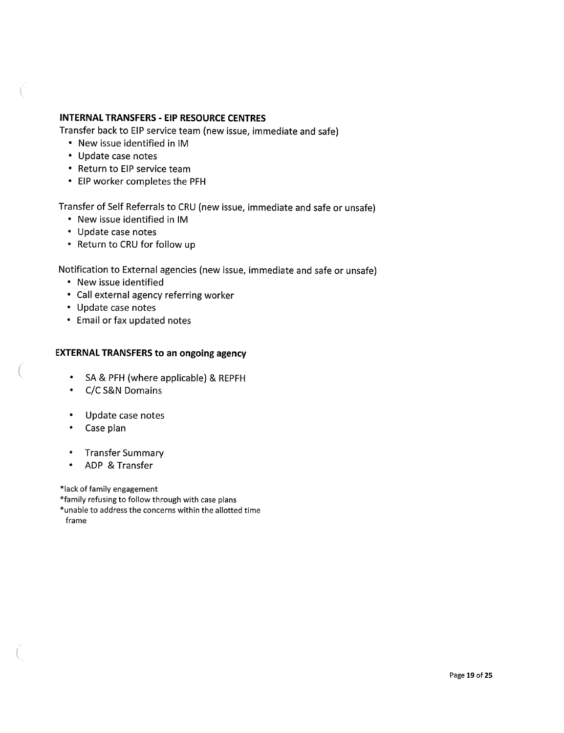#### **INTERNAL TRANSFERS - EIP RESOURCE CENTRES**

Transfer back to EIP service team (new issue, immediate and safe)

- New issue identified in IM
- Update case notes
- Return to EIP service team
- EIP worker completes the PFH

Transfer of Self Referrals to CRU (new issue, immediate and safe or unsafe)

- New issue identified in IM
- Update case notes
- Return to CRU for follow up

Notification to External agencies (new issue, immediate and safe or unsafe)

- New issue identified
- Call external agency referring worker
- Update case notes
- Email or fax updated notes

#### **EXTERNAL TRANSFERS to an ongoing agency**

- SA & PFH (where applicable) & REPFH
- C/C S&N Domains
- Update case notes
- Case plan
- Transfer Summary
- ADP & Transfer

\*lack of family engagement

\*family refusing to follow through with case plans

\*unable to address the concerns within the allotted time frame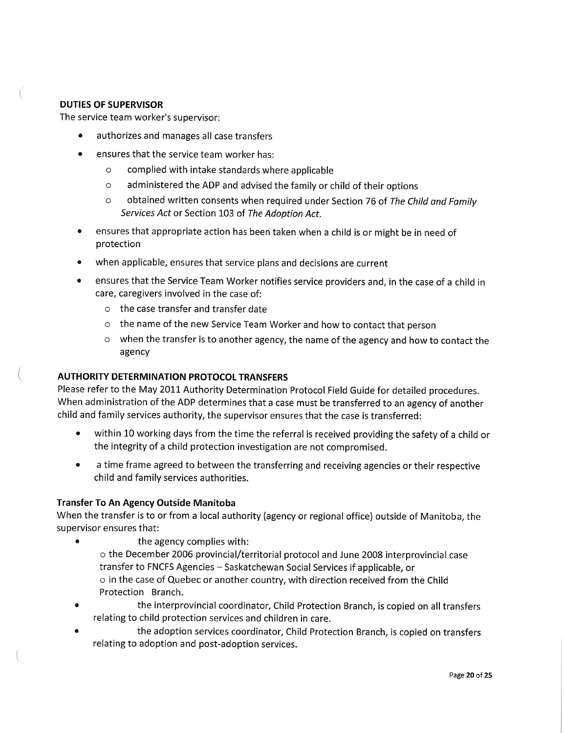### **DUTIES OF SUPERVISOR**

The service team worker's supervisor:

- authorizes and manages all case transfers
- ensures that the service team worker has:
	- **o** complied with intake standards where applicable
	- **o** administered the ADP and advised the family or child of their options
	- **o** obtained written consents when required under Section 76 of The Child and Family Services Act or Section 103 of The Adoption Act.
- ensures that appropriate action has been taken when a child is or might be in need of protection
- when applicable, ensures that service plans and decisions are current
- ensures that the Service Team Worker notifies service providers and, in the case of a child in care, caregivers involved in the case of:
	- **o** the case transfer and transfer date
	- **o** the name of the new Service Team Worker and how to contact that person
	- **o** when the transfer is to another agency, the name of the agency and how to contact the agency

#### **AUTHORITY DETERMINATION PROTOCOL TRANSFERS**

Please refer to the May 2011 Authority Determination Protocol Field Guide for detailed procedures. When administration of the ADP determines that a case must be transferred to an agency of another child and family services authority, the supervisor ensures that the case is transferred:

- within 10 working days from the time the referral is received providing the safety of a child or the integrity of a child protection investigation are not compromised.
- » a time frame agreed to between the transferring and receiving agencies or their respective child and family services authorities.

#### **Transfer To An Agency Outside Manitoba**

When the transfer is to or from a local authority (agency or regional office) outside of Manitoba, the supervisor ensures that:

- **•** the agency complies with: **o** the December 2006 provincial/territorial protocol and June 2008 interprovincial case transfer to FNCFS Agencies - Saskatchewan Social Services if applicable, or **o** in the case of Quebec or another country, with direction received from the Child Protection Branch.
- the interprovincial coordinator, Child Protection Branch, is copied on all transfers relating to child protection services and children in care,
- the adoption services coordinator, Child Protection Branch, is copied on transfers relating to adoption and post-adoption services.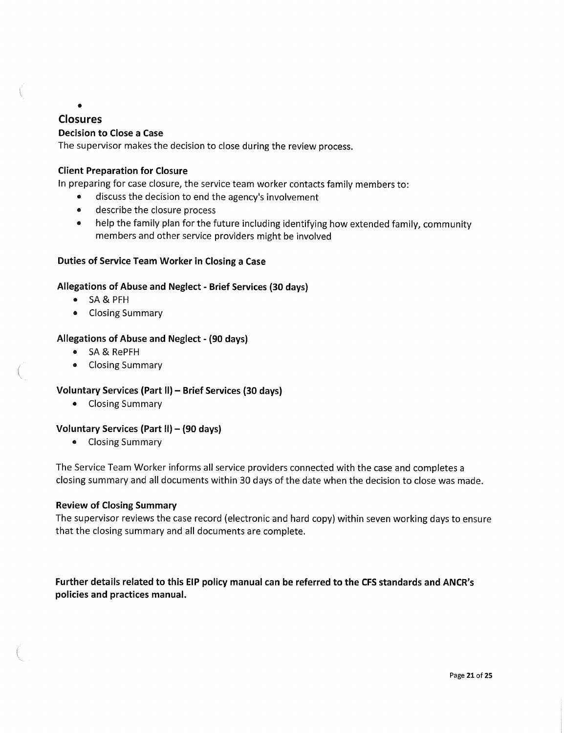### **Closures Decision to Close a Case**

 $\bullet$ 

The supervisor makes the decision to close during the review process.

#### **Client Preparation for Closure**

In preparing for case closure, the service team worker contacts family members to:

- discuss the decision to end the agency's involvement
- describe the closure process
- help the family plan for the future including identifying how extended family, community members and other service providers might be involved

#### **Duties of Service Team Worker in Closing a Case**

#### **Allegations of Abuse and Neglect - Brief Services (30 days)**

- SA & PFH
- Closing Summary

#### **Allegations of Abuse and Neglect - (90 days)**

- « SA & RePFH
- Closing Summary

#### **Voluntary Services (Part II) - Brief Services (30 days)**

• Closing Summary

#### **Voluntary Services (Part II) - (90 days)**

« Closing Summary

The Service Team Worker informs all service providers connected with the case and completes a closing summary and all documents within 30 days of the date when the decision to close was made.

#### **Review of Closing Summary**

The supervisor reviews the case record (electronic and hard copy) within seven working days to ensure that the closing summary and all documents are complete.

**Further details related to this EIP policy manual can be referred to the CFS standards and ANCR's policies and practices manual.**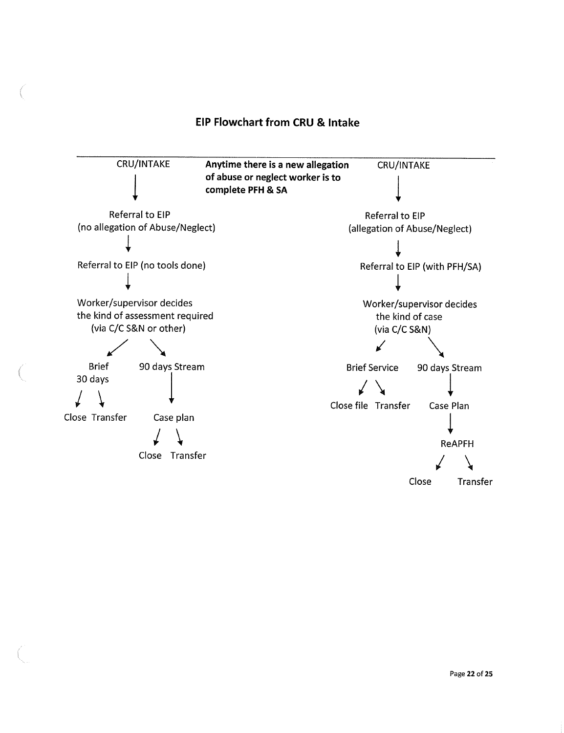### **EIP Flowchart from CRU & Intake**

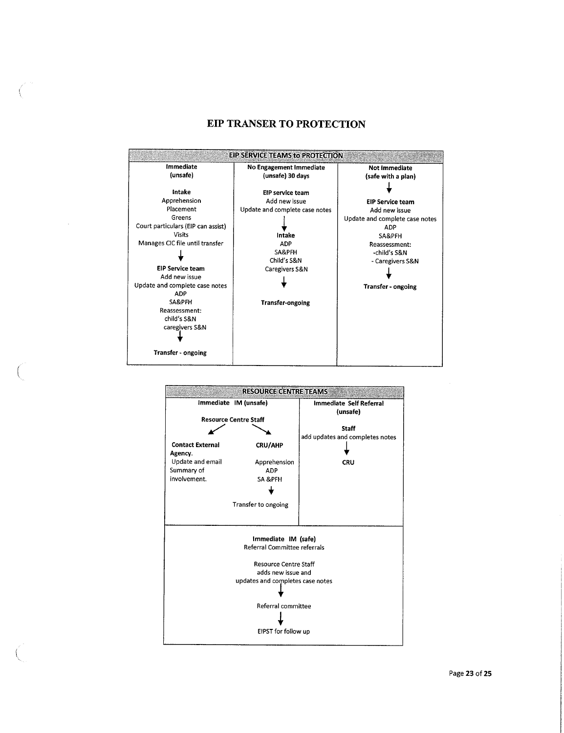#### **EIP TRANSER TO PROTECTION**



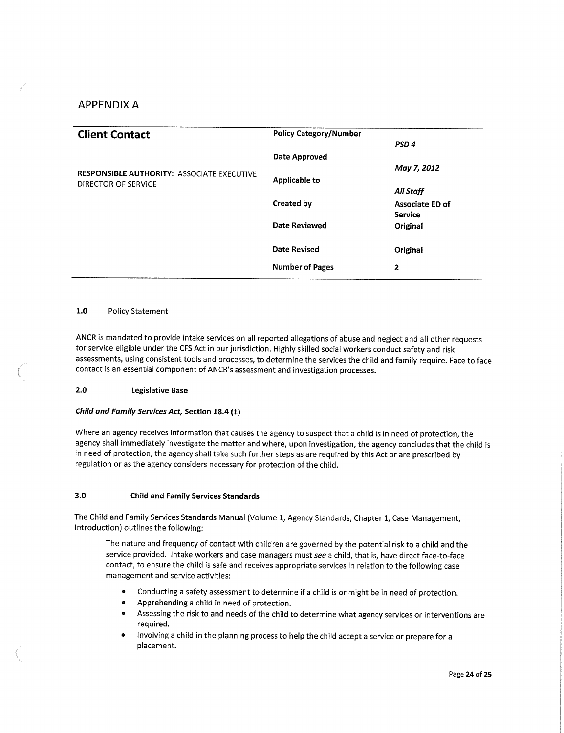#### APPENDIX A

| <b>Client Contact</b>                             | <b>Policy Category/Number</b> |                  |
|---------------------------------------------------|-------------------------------|------------------|
|                                                   |                               | PSD <sub>4</sub> |
|                                                   | <b>Date Approved</b>          |                  |
| <b>RESPONSIBLE AUTHORITY: ASSOCIATE EXECUTIVE</b> |                               | May 7, 2012      |
| DIRECTOR OF SERVICE                               | <b>Applicable to</b>          |                  |
|                                                   |                               | All Staff        |
|                                                   | <b>Created by</b>             | Associate ED of  |
|                                                   |                               | <b>Service</b>   |
|                                                   | <b>Date Reviewed</b>          | Original         |
|                                                   |                               |                  |
|                                                   | <b>Date Revised</b>           | Original         |
|                                                   | <b>Number of Pages</b>        | 2                |
|                                                   |                               |                  |

#### **1.0** Policy Statement

ANCR is mandated to provide intake services on all reported allegations of abuse and neglect and all other requests for service eligible under the CFS Act in our jurisdiction. Highly skilled social workers conduct safety and risk assessments, using consistent tools and processes, to determine the services the child and family require. Face to face contact is an essential component of ANCR's assessment and investigation processes.

#### **2.0 Legislative Base**

#### **Child and Family Services Act, Section 18.4 (1)**

Where an agency receives information that causes the agency to suspect that a child is in need of protection, the agency shall immediately investigate the matter and where, upon investigation, the agency concludes that the child is in need of protection, the agency shall take such further steps as are required by this Act or are prescribed by regulation or as the agency considers necessary for protection of the child.

#### **3.0 Child and Family Services Standards**

The Child and Family Services Standards Manual (Volume 1, Agency Standards, Chapter 1, Case Management, Introduction) outlines the following:

The nature and frequency of contact with children are governed by the potential risk to a child and the service provided. Intake workers and case managers must **see** a child, that is, have direct face-to-face contact, to ensure the child is safe and receives appropriate services in relation to the following case management and service activities:

- Conducting a safety assessment to determine if a child is or might be in need of protection.
- Apprehending a child in need of protection.
- Assessing the risk to and needs of the child to determine what agency services or interventions are required.
- Involving a child in the planning process to help the child accept a service or prepare for a placement.